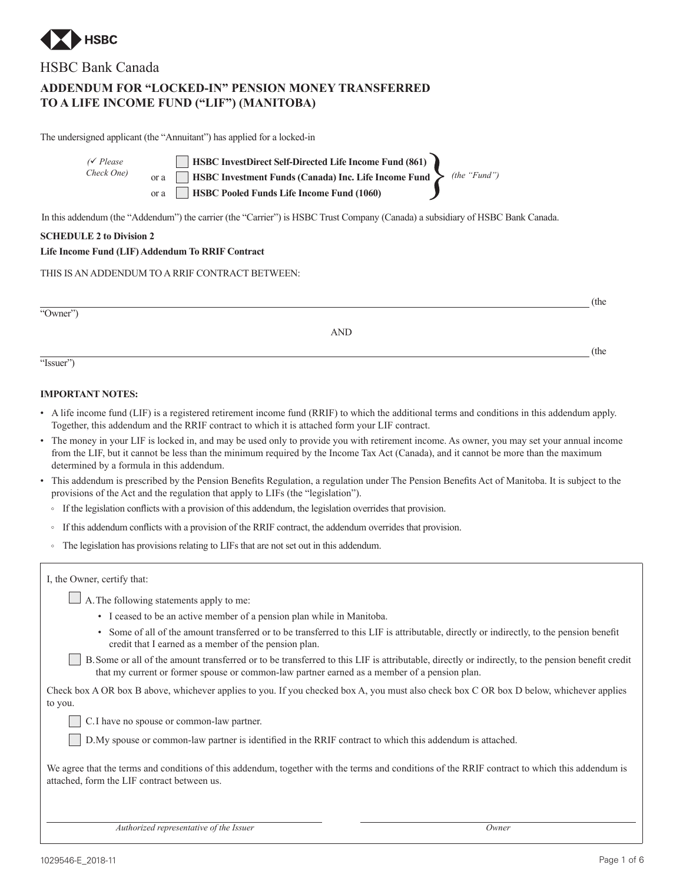

# HSBC Bank Canada

# **ADDENDUM FOR "LOCKED-IN" PENSION MONEY TRANSFERRED TO A LIFE INCOME FUND ("LIF") (MANITOBA)**

The undersigned applicant (the "Annuitant") has applied for a locked-in

| $\sqrt{\ }$ Please | HSBC InvestDirect Self-Directed Life Income Fund (861)                          |  |
|--------------------|---------------------------------------------------------------------------------|--|
| Check One)         | or a <b>HSBC</b> Investment Funds (Canada) Inc. Life Income Fund > (the "Fund") |  |
|                    | or a <b>HSBC</b> Pooled Funds Life Income Fund (1060)                           |  |

In this addendum (the "Addendum") the carrier (the "Carrier") is HSBC Trust Company (Canada) a subsidiary of HSBC Bank Canada.

## **SCHEDULE 2 to Division 2**

## **Life Income Fund (LIF) Addendum To RRIF Contract**

THIS IS AN ADDENDUM TO A RRIF CONTRACT BETWEEN:

AND

(the

(the

"Issuer")

"Owner")

# **IMPORTANT NOTES:**

- A life income fund (LIF) is a registered retirement income fund (RRIF) to which the additional terms and conditions in this addendum apply. Together, this addendum and the RRIF contract to which it is attached form your LIF contract.
- The money in your LIF is locked in, and may be used only to provide you with retirement income. As owner, you may set your annual income from the LIF, but it cannot be less than the minimum required by the Income Tax Act (Canada), and it cannot be more than the maximum determined by a formula in this addendum.
- This addendum is prescribed by the Pension Benefits Regulation, a regulation under The Pension Benefits Act of Manitoba. It is subject to the provisions of the Act and the regulation that apply to LIFs (the "legislation").
	- If the legislation conflicts with a provision of this addendum, the legislation overrides that provision.
	- If this addendum conflicts with a provision of the RRIF contract, the addendum overrides that provision.
	- The legislation has provisions relating to LIFs that are not set out in this addendum.

| I, the Owner, certify that:                                                                                                                                                                                                     |
|---------------------------------------------------------------------------------------------------------------------------------------------------------------------------------------------------------------------------------|
| $\Box$ A. The following statements apply to me:                                                                                                                                                                                 |
| • I ceased to be an active member of a pension plan while in Manitoba.                                                                                                                                                          |
| • Some of all of the amount transferred or to be transferred to this LIF<br>credit that I earned as a member of the pension plan.                                                                                               |
| $\Box$ not be a contract of the contract of the contract of the contract of the contract of the contract of the contract of the contract of the contract of the contract of the contract of the contract of the contract of the |

ember of the pension plan. B.Some or all of the amount transferred or to be transferred to this LIF is attributable, directly or indirectly, to the pension benefit credit

transferred or to be transferred to this LIF is attributable, directly or indirectly, to the pension benefit

that my current or former spouse or common-law partner earned as a member of a pension plan.

Check box A OR box B above, whichever applies to you. If you checked box A, you must also check box C OR box D below, whichever applies to you.

C.I have no spouse or common-law partner.

D.My spouse or common-law partner is identified in the RRIF contract to which this addendum is attached.

We agree that the terms and conditions of this addendum, together with the terms and conditions of the RRIF contract to which this addendum is attached, form the LIF contract between us.

*Authorized representative of the Issuer Owner*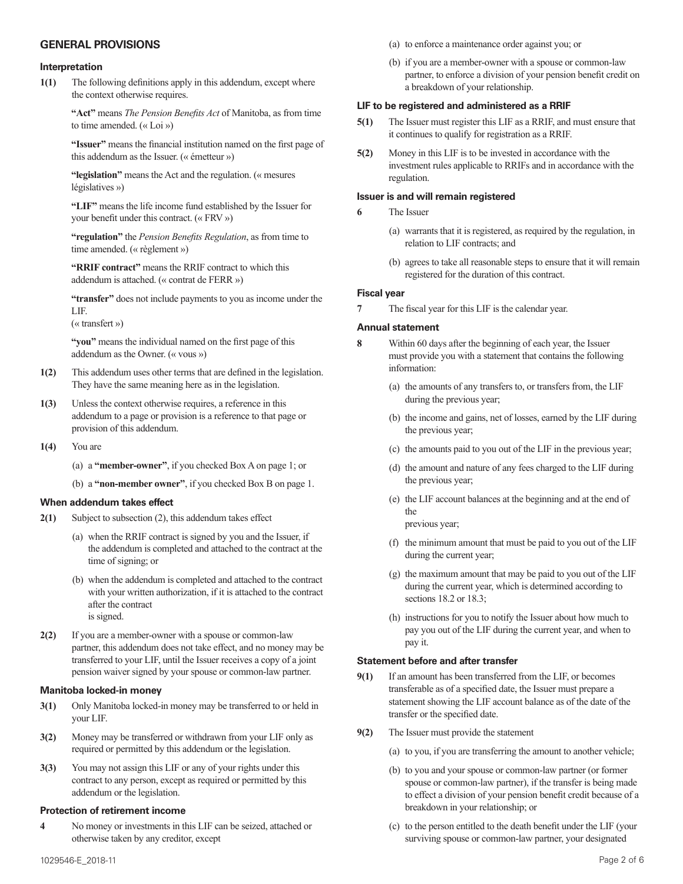# **GENERAL PROVISIONS**

#### **Interpretation**

**1(1)** The following definitions apply in this addendum, except where the context otherwise requires.

> **"Act"** means *The Pension Benefits Act* of Manitoba, as from time to time amended. (« Loi »)

**"Issuer"** means the financial institution named on the first page of this addendum as the Issuer. (« émetteur »)

**"legislation"** means the Act and the regulation. (« mesures législatives »)

**"LIF"** means the life income fund established by the Issuer for your benefit under this contract. (« FRV »)

**"regulation"** the *Pension Benefits Regulation*, as from time to time amended. (« règlement »)

**"RRIF contract"** means the RRIF contract to which this addendum is attached. (« contrat de FERR »)

**"transfer"** does not include payments to you as income under the LIF.

(« transfert »)

**"you"** means the individual named on the first page of this addendum as the Owner. (« vous »)

- **1(2)** This addendum uses other terms that are defined in the legislation. They have the same meaning here as in the legislation.
- **1(3)** Unless the context otherwise requires, a reference in this addendum to a page or provision is a reference to that page or provision of this addendum.
- **1(4)** You are
	- (a) a **"member-owner"**, if you checked Box A on page 1; or
	- (b) a **"non-member owner"**, if you checked Box B on page 1.

#### **When addendum takes effect**

- **2(1)** Subject to subsection (2), this addendum takes effect
	- (a) when the RRIF contract is signed by you and the Issuer, if the addendum is completed and attached to the contract at the time of signing; or
	- (b) when the addendum is completed and attached to the contract with your written authorization, if it is attached to the contract after the contract is signed.
- **2(2)** If you are a member-owner with a spouse or common-law partner, this addendum does not take effect, and no money may be transferred to your LIF, until the Issuer receives a copy of a joint pension waiver signed by your spouse or common-law partner.

#### **Manitoba locked-in money**

- **3(1)** Only Manitoba locked-in money may be transferred to or held in your LIF.
- **3(2)** Money may be transferred or withdrawn from your LIF only as required or permitted by this addendum or the legislation.
- **3(3)** You may not assign this LIF or any of your rights under this contract to any person, except as required or permitted by this addendum or the legislation.

# **Protection of retirement income**

**4** No money or investments in this LIF can be seized, attached or otherwise taken by any creditor, except

- (a) to enforce a maintenance order against you; or
- (b) if you are a member-owner with a spouse or common-law partner, to enforce a division of your pension benefit credit on a breakdown of your relationship.

#### **LIF to be registered and administered as a RRIF**

- **5(1)** The Issuer must register this LIF as a RRIF, and must ensure that it continues to qualify for registration as a RRIF.
- **5(2)** Money in this LIF is to be invested in accordance with the investment rules applicable to RRIFs and in accordance with the regulation.

## **Issuer is and will remain registered**

- **6** The Issuer
	- (a) warrants that it is registered, as required by the regulation, in relation to LIF contracts; and
	- (b) agrees to take all reasonable steps to ensure that it will remain registered for the duration of this contract.

## **Fiscal year**

**7** The fiscal year for this LIF is the calendar year.

## **Annual statement**

- **8** Within 60 days after the beginning of each year, the Issuer must provide you with a statement that contains the following information:
	- (a) the amounts of any transfers to, or transfers from, the LIF during the previous year;
	- (b) the income and gains, net of losses, earned by the LIF during the previous year;
	- (c) the amounts paid to you out of the LIF in the previous year;
	- (d) the amount and nature of any fees charged to the LIF during the previous year;
	- (e) the LIF account balances at the beginning and at the end of the

previous year;

- (f) the minimum amount that must be paid to you out of the LIF during the current year;
- (g) the maximum amount that may be paid to you out of the LIF during the current year, which is determined according to sections 18.2 or 18.3;
- (h) instructions for you to notify the Issuer about how much to pay you out of the LIF during the current year, and when to pay it.

# **Statement before and after transfer**

- **9(1)** If an amount has been transferred from the LIF, or becomes transferable as of a specified date, the Issuer must prepare a statement showing the LIF account balance as of the date of the transfer or the specified date.
- **9(2)** The Issuer must provide the statement
	- (a) to you, if you are transferring the amount to another vehicle;
	- (b) to you and your spouse or common-law partner (or former spouse or common-law partner), if the transfer is being made to effect a division of your pension benefit credit because of a breakdown in your relationship; or
	- (c) to the person entitled to the death benefit under the LIF (your surviving spouse or common-law partner, your designated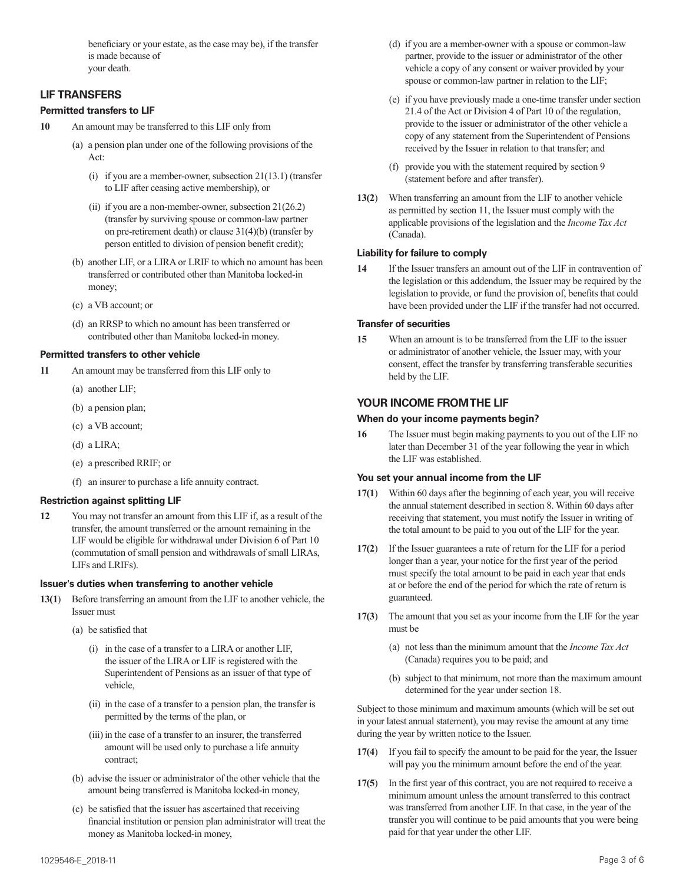beneficiary or your estate, as the case may be), if the transfer is made because of your death.

# **LIF TRANSFERS**

# **Permitted transfers to LIF**

- **10** An amount may be transferred to this LIF only from
	- (a) a pension plan under one of the following provisions of the  $Act$ 
		- (i) if you are a member-owner, subsection 21(13.1) (transfer to LIF after ceasing active membership), or
		- (ii) if you are a non-member-owner, subsection 21(26.2) (transfer by surviving spouse or common-law partner on pre-retirement death) or clause 31(4)(b) (transfer by person entitled to division of pension benefit credit);
	- (b) another LIF, or a LIRA or LRIF to which no amount has been transferred or contributed other than Manitoba locked-in money;
	- (c) a VB account; or
	- (d) an RRSP to which no amount has been transferred or contributed other than Manitoba locked-in money.

# **Permitted transfers to other vehicle**

- **11** An amount may be transferred from this LIF only to
	- (a) another LIF;
	- (b) a pension plan;
	- (c) a VB account;
	- (d) a LIRA;
	- (e) a prescribed RRIF; or
	- (f) an insurer to purchase a life annuity contract.

# **Restriction against splitting LIF**

**12** You may not transfer an amount from this LIF if, as a result of the transfer, the amount transferred or the amount remaining in the LIF would be eligible for withdrawal under Division 6 of Part 10 (commutation of small pension and withdrawals of small LIRAs, LIFs and LRIFs).

#### **Issuer's duties when transferring to another vehicle**

- **13(1**) Before transferring an amount from the LIF to another vehicle, the Issuer must
	- (a) be satisfied that
		- (i) in the case of a transfer to a LIRA or another LIF, the issuer of the LIRA or LIF is registered with the Superintendent of Pensions as an issuer of that type of vehicle,
		- (ii) in the case of a transfer to a pension plan, the transfer is permitted by the terms of the plan, or
		- (iii) in the case of a transfer to an insurer, the transferred amount will be used only to purchase a life annuity contract;
	- (b) advise the issuer or administrator of the other vehicle that the amount being transferred is Manitoba locked-in money,
	- (c) be satisfied that the issuer has ascertained that receiving financial institution or pension plan administrator will treat the money as Manitoba locked-in money,
- (d) if you are a member-owner with a spouse or common-law partner, provide to the issuer or administrator of the other vehicle a copy of any consent or waiver provided by your spouse or common-law partner in relation to the LIF;
- (e) if you have previously made a one-time transfer under section 21.4 of the Act or Division 4 of Part 10 of the regulation, provide to the issuer or administrator of the other vehicle a copy of any statement from the Superintendent of Pensions received by the Issuer in relation to that transfer; and
- (f) provide you with the statement required by section 9 (statement before and after transfer).
- **13(2**) When transferring an amount from the LIF to another vehicle as permitted by section 11, the Issuer must comply with the applicable provisions of the legislation and the *Income Tax Act* (Canada).

## **Liability for failure to comply**

**14** If the Issuer transfers an amount out of the LIF in contravention of the legislation or this addendum, the Issuer may be required by the legislation to provide, or fund the provision of, benefits that could have been provided under the LIF if the transfer had not occurred.

## **Transfer of securities**

**15** When an amount is to be transferred from the LIF to the issuer or administrator of another vehicle, the Issuer may, with your consent, effect the transfer by transferring transferable securities held by the LIF.

# **YOUR INCOME FROM THE LIF**

# **When do your income payments begin?**

**16** The Issuer must begin making payments to you out of the LIF no later than December 31 of the year following the year in which the LIF was established.

#### **You set your annual income from the LIF**

- **17(1**) Within 60 days after the beginning of each year, you will receive the annual statement described in section 8. Within 60 days after receiving that statement, you must notify the Issuer in writing of the total amount to be paid to you out of the LIF for the year.
- **17(2**) If the Issuer guarantees a rate of return for the LIF for a period longer than a year, your notice for the first year of the period must specify the total amount to be paid in each year that ends at or before the end of the period for which the rate of return is guaranteed.
- **17(3**) The amount that you set as your income from the LIF for the year must be
	- (a) not less than the minimum amount that the *Income Tax Act* (Canada) requires you to be paid; and
	- (b) subject to that minimum, not more than the maximum amount determined for the year under section 18.

Subject to those minimum and maximum amounts (which will be set out in your latest annual statement), you may revise the amount at any time during the year by written notice to the Issuer.

- **17(4**) If you fail to specify the amount to be paid for the year, the Issuer will pay you the minimum amount before the end of the year.
- **17(5**) In the first year of this contract, you are not required to receive a minimum amount unless the amount transferred to this contract was transferred from another LIF. In that case, in the year of the transfer you will continue to be paid amounts that you were being paid for that year under the other LIF.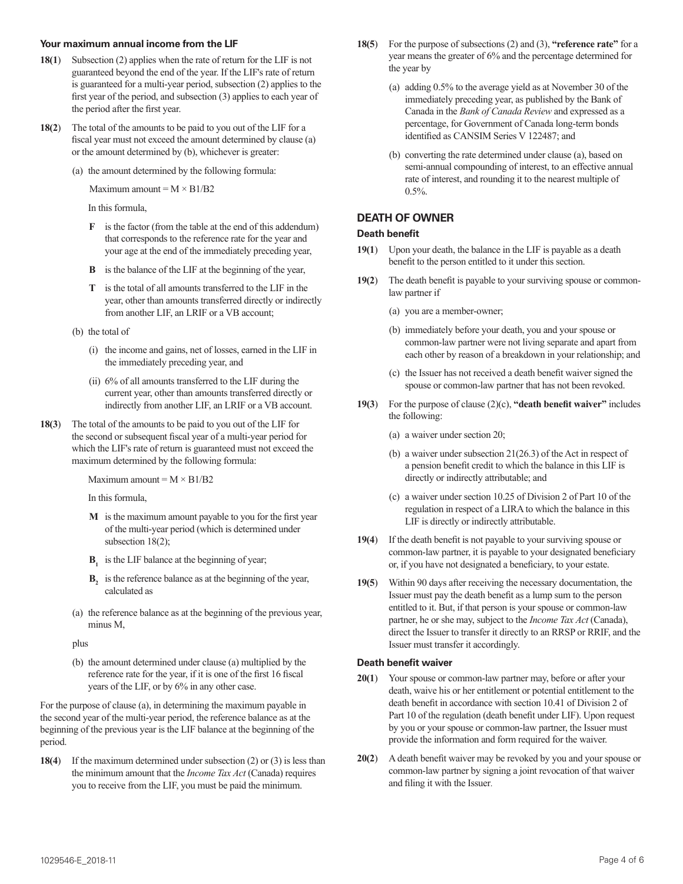#### **Your maximum annual income from the LIF**

- **18(1**) Subsection (2) applies when the rate of return for the LIF is not guaranteed beyond the end of the year. If the LIF's rate of return is guaranteed for a multi-year period, subsection (2) applies to the first year of the period, and subsection (3) applies to each year of the period after the first year.
- **18(2**) The total of the amounts to be paid to you out of the LIF for a fiscal year must not exceed the amount determined by clause (a) or the amount determined by (b), whichever is greater:
	- (a) the amount determined by the following formula:

Maximum amount  $=M \times B1/B2$ 

In this formula,

- **F** is the factor (from the table at the end of this addendum) that corresponds to the reference rate for the year and your age at the end of the immediately preceding year,
- **B** is the balance of the LIF at the beginning of the year,
- **T** is the total of all amounts transferred to the LIF in the year, other than amounts transferred directly or indirectly from another LIF, an LRIF or a VB account;
- (b) the total of
	- (i) the income and gains, net of losses, earned in the LIF in the immediately preceding year, and
	- (ii) 6% of all amounts transferred to the LIF during the current year, other than amounts transferred directly or indirectly from another LIF, an LRIF or a VB account.
- **18(3**) The total of the amounts to be paid to you out of the LIF for the second or subsequent fiscal year of a multi-year period for which the LIF's rate of return is guaranteed must not exceed the maximum determined by the following formula:

Maximum amount =  $M \times B1/B2$ 

In this formula,

- **M** is the maximum amount payable to you for the first year of the multi-year period (which is determined under subsection 18(2);
- **B**, is the LIF balance at the beginning of year;
- **B**, is the reference balance as at the beginning of the year, calculated as
- (a) the reference balance as at the beginning of the previous year, minus M,

plus

(b) the amount determined under clause (a) multiplied by the reference rate for the year, if it is one of the first 16 fiscal years of the LIF, or by 6% in any other case.

For the purpose of clause (a), in determining the maximum payable in the second year of the multi-year period, the reference balance as at the beginning of the previous year is the LIF balance at the beginning of the period.

**18(4**) If the maximum determined under subsection (2) or (3) is less than the minimum amount that the *Income Tax Act* (Canada) requires you to receive from the LIF, you must be paid the minimum.

- **18(5**) For the purpose of subsections (2) and (3), **"reference rate"** for a year means the greater of 6% and the percentage determined for the year by
	- (a) adding 0.5% to the average yield as at November 30 of the immediately preceding year, as published by the Bank of Canada in the *Bank of Canada Review* and expressed as a percentage, for Government of Canada long-term bonds identified as CANSIM Series V 122487; and
	- (b) converting the rate determined under clause (a), based on semi-annual compounding of interest, to an effective annual rate of interest, and rounding it to the nearest multiple of 0.5%.

# **DEATH OF OWNER**

# **Death benefit**

- **19(1**) Upon your death, the balance in the LIF is payable as a death benefit to the person entitled to it under this section.
- **19(2**) The death benefit is payable to your surviving spouse or commonlaw partner if
	- (a) you are a member-owner;
	- (b) immediately before your death, you and your spouse or common-law partner were not living separate and apart from each other by reason of a breakdown in your relationship; and
	- (c) the Issuer has not received a death benefit waiver signed the spouse or common-law partner that has not been revoked.
- **19(3**) For the purpose of clause (2)(c), **"death benefit waiver"** includes the following:
	- (a) a waiver under section 20;
	- (b) a waiver under subsection 21(26.3) of the Act in respect of a pension benefit credit to which the balance in this LIF is directly or indirectly attributable; and
	- (c) a waiver under section 10.25 of Division 2 of Part 10 of the regulation in respect of a LIRA to which the balance in this LIF is directly or indirectly attributable.
- **19(4**) If the death benefit is not payable to your surviving spouse or common-law partner, it is payable to your designated beneficiary or, if you have not designated a beneficiary, to your estate.
- **19(5**) Within 90 days after receiving the necessary documentation, the Issuer must pay the death benefit as a lump sum to the person entitled to it. But, if that person is your spouse or common-law partner, he or she may, subject to the *Income Tax Act* (Canada), direct the Issuer to transfer it directly to an RRSP or RRIF, and the Issuer must transfer it accordingly.

# **Death benefit waiver**

- **20(1**) Your spouse or common-law partner may, before or after your death, waive his or her entitlement or potential entitlement to the death benefit in accordance with section 10.41 of Division 2 of Part 10 of the regulation (death benefit under LIF). Upon request by you or your spouse or common-law partner, the Issuer must provide the information and form required for the waiver.
- **20(2**) A death benefit waiver may be revoked by you and your spouse or common-law partner by signing a joint revocation of that waiver and filing it with the Issuer.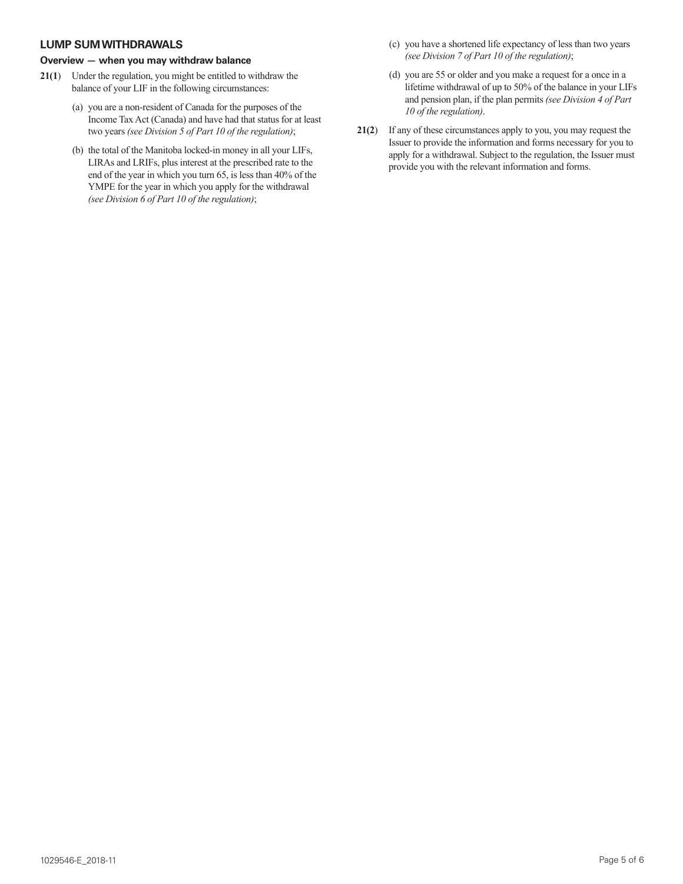# **LUMP SUM WITHDRAWALS**

## **Overview — when you may withdraw balance**

- **21(1**) Under the regulation, you might be entitled to withdraw the balance of your LIF in the following circumstances:
	- (a) you are a non-resident of Canada for the purposes of the Income Tax Act (Canada) and have had that status for at least two years *(see Division 5 of Part 10 of the regulation)*;
	- (b) the total of the Manitoba locked-in money in all your LIFs, LIRAs and LRIFs, plus interest at the prescribed rate to the end of the year in which you turn 65, is less than 40% of the YMPE for the year in which you apply for the withdrawal *(see Division 6 of Part 10 of the regulation)*;
- (c) you have a shortened life expectancy of less than two years *(see Division 7 of Part 10 of the regulation)*;
- (d) you are 55 or older and you make a request for a once in a lifetime withdrawal of up to 50% of the balance in your LIFs and pension plan, if the plan permits *(see Division 4 of Part 10 of the regulation)*.
- **21(2**) If any of these circumstances apply to you, you may request the Issuer to provide the information and forms necessary for you to apply for a withdrawal. Subject to the regulation, the Issuer must provide you with the relevant information and forms.